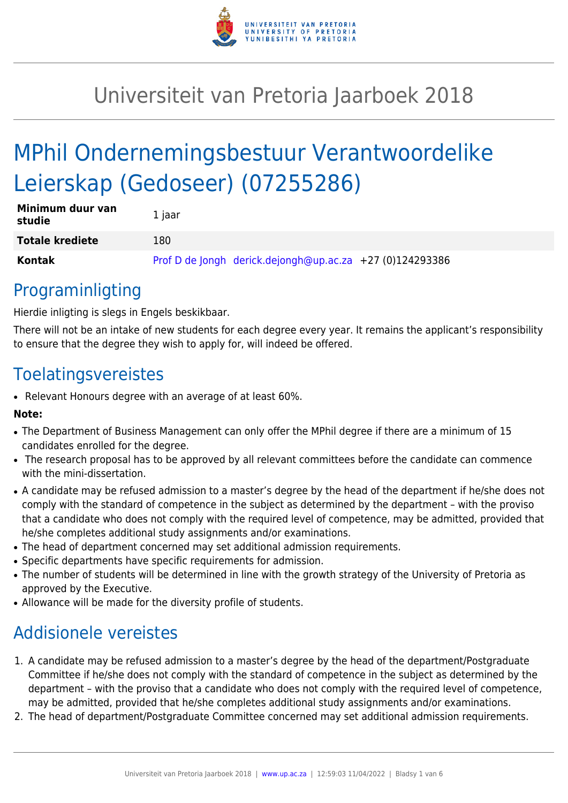

# Universiteit van Pretoria Jaarboek 2018

# MPhil Ondernemingsbestuur Verantwoordelike Leierskap (Gedoseer) (07255286)

| Minimum duur van<br>studie | 1 jaar |                                                            |  |
|----------------------------|--------|------------------------------------------------------------|--|
| <b>Totale krediete</b>     | 180    |                                                            |  |
| Kontak                     |        | Prof D de Jongh derick.dejongh@up.ac.za $+27$ (0)124293386 |  |

## Programinligting

Hierdie inligting is slegs in Engels beskikbaar.

There will not be an intake of new students for each degree every year. It remains the applicant's responsibility to ensure that the degree they wish to apply for, will indeed be offered.

## Toelatingsvereistes

• Relevant Honours degree with an average of at least 60%.

## **Note:**

- The Department of Business Management can only offer the MPhil degree if there are a minimum of 15 candidates enrolled for the degree.
- The research proposal has to be approved by all relevant committees before the candidate can commence with the mini-dissertation.
- A candidate may be refused admission to a master's degree by the head of the department if he/she does not comply with the standard of competence in the subject as determined by the department – with the proviso that a candidate who does not comply with the required level of competence, may be admitted, provided that he/she completes additional study assignments and/or examinations.
- The head of department concerned may set additional admission requirements.
- Specific departments have specific requirements for admission.
- The number of students will be determined in line with the growth strategy of the University of Pretoria as approved by the Executive.
- Allowance will be made for the diversity profile of students.

## Addisionele vereistes

- 1. A candidate may be refused admission to a master's degree by the head of the department/Postgraduate Committee if he/she does not comply with the standard of competence in the subject as determined by the department – with the proviso that a candidate who does not comply with the required level of competence, may be admitted, provided that he/she completes additional study assignments and/or examinations.
- 2. The head of department/Postgraduate Committee concerned may set additional admission requirements.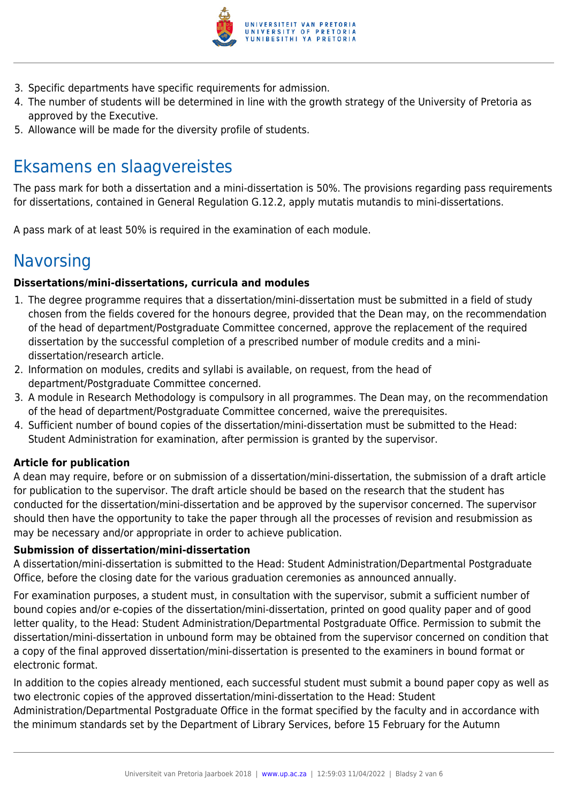

- 3. Specific departments have specific requirements for admission.
- 4. The number of students will be determined in line with the growth strategy of the University of Pretoria as approved by the Executive.
- 5. Allowance will be made for the diversity profile of students.

## Eksamens en slaagvereistes

The pass mark for both a dissertation and a mini-dissertation is 50%. The provisions regarding pass requirements for dissertations, contained in General Regulation G.12.2, apply mutatis mutandis to mini-dissertations.

A pass mark of at least 50% is required in the examination of each module.

## **Navorsing**

## **Dissertations/mini-dissertations, curricula and modules**

- 1. The degree programme requires that a dissertation/mini-dissertation must be submitted in a field of study chosen from the fields covered for the honours degree, provided that the Dean may, on the recommendation of the head of department/Postgraduate Committee concerned, approve the replacement of the required dissertation by the successful completion of a prescribed number of module credits and a minidissertation/research article.
- 2. Information on modules, credits and syllabi is available, on request, from the head of department/Postgraduate Committee concerned.
- 3. A module in Research Methodology is compulsory in all programmes. The Dean may, on the recommendation of the head of department/Postgraduate Committee concerned, waive the prerequisites.
- 4. Sufficient number of bound copies of the dissertation/mini-dissertation must be submitted to the Head: Student Administration for examination, after permission is granted by the supervisor.

## **Article for publication**

A dean may require, before or on submission of a dissertation/mini-dissertation, the submission of a draft article for publication to the supervisor. The draft article should be based on the research that the student has conducted for the dissertation/mini-dissertation and be approved by the supervisor concerned. The supervisor should then have the opportunity to take the paper through all the processes of revision and resubmission as may be necessary and/or appropriate in order to achieve publication.

## **Submission of dissertation/mini-dissertation**

A dissertation/mini-dissertation is submitted to the Head: Student Administration/Departmental Postgraduate Office, before the closing date for the various graduation ceremonies as announced annually.

For examination purposes, a student must, in consultation with the supervisor, submit a sufficient number of bound copies and/or e-copies of the dissertation/mini-dissertation, printed on good quality paper and of good letter quality, to the Head: Student Administration/Departmental Postgraduate Office. Permission to submit the dissertation/mini-dissertation in unbound form may be obtained from the supervisor concerned on condition that a copy of the final approved dissertation/mini-dissertation is presented to the examiners in bound format or electronic format.

In addition to the copies already mentioned, each successful student must submit a bound paper copy as well as two electronic copies of the approved dissertation/mini-dissertation to the Head: Student

Administration/Departmental Postgraduate Office in the format specified by the faculty and in accordance with the minimum standards set by the Department of Library Services, before 15 February for the Autumn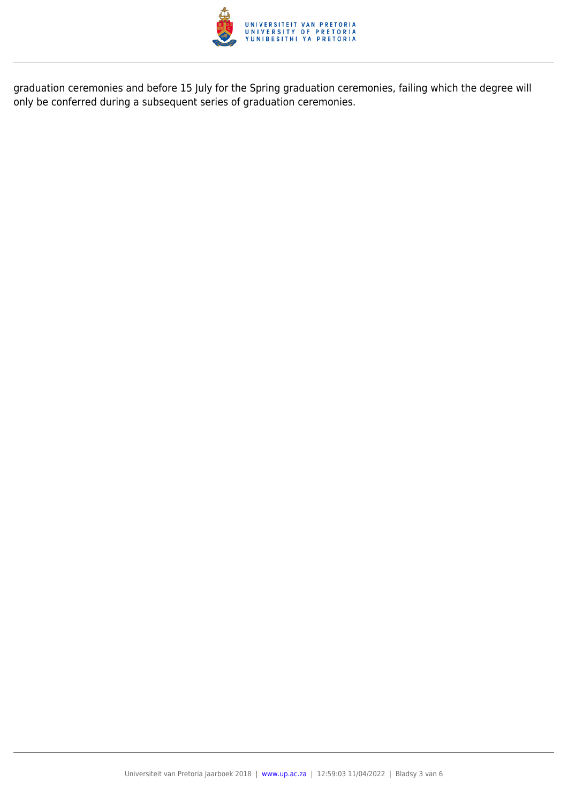

graduation ceremonies and before 15 July for the Spring graduation ceremonies, failing which the degree will only be conferred during a subsequent series of graduation ceremonies.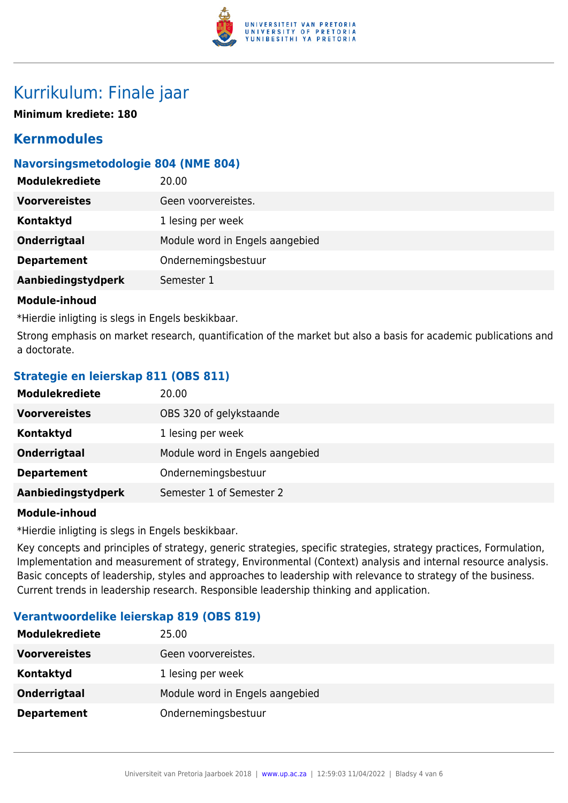

## Kurrikulum: Finale jaar

**Minimum krediete: 180**

## **Kernmodules**

## **Navorsingsmetodologie 804 (NME 804)**

| <b>Modulekrediete</b> | 20.00                           |
|-----------------------|---------------------------------|
| <b>Voorvereistes</b>  | Geen voorvereistes.             |
| Kontaktyd             | 1 lesing per week               |
| <b>Onderrigtaal</b>   | Module word in Engels aangebied |
| <b>Departement</b>    | Ondernemingsbestuur             |
| Aanbiedingstydperk    | Semester 1                      |
|                       |                                 |

### **Module-inhoud**

\*Hierdie inligting is slegs in Engels beskikbaar.

Strong emphasis on market research, quantification of the market but also a basis for academic publications and a doctorate.

## **Strategie en leierskap 811 (OBS 811)**

| <b>Modulekrediete</b> | 20.00                           |
|-----------------------|---------------------------------|
| <b>Voorvereistes</b>  | OBS 320 of gelykstaande         |
| Kontaktyd             | 1 lesing per week               |
| <b>Onderrigtaal</b>   | Module word in Engels aangebied |
| <b>Departement</b>    | Ondernemingsbestuur             |
| Aanbiedingstydperk    | Semester 1 of Semester 2        |

### **Module-inhoud**

\*Hierdie inligting is slegs in Engels beskikbaar.

Key concepts and principles of strategy, generic strategies, specific strategies, strategy practices, Formulation, Implementation and measurement of strategy, Environmental (Context) analysis and internal resource analysis. Basic concepts of leadership, styles and approaches to leadership with relevance to strategy of the business. Current trends in leadership research. Responsible leadership thinking and application.

## **Verantwoordelike leierskap 819 (OBS 819)**

| <b>Modulekrediete</b> | 25.00                           |
|-----------------------|---------------------------------|
| <b>Voorvereistes</b>  | Geen voorvereistes.             |
| Kontaktyd             | 1 lesing per week               |
| Onderrigtaal          | Module word in Engels aangebied |
| <b>Departement</b>    | Ondernemingsbestuur             |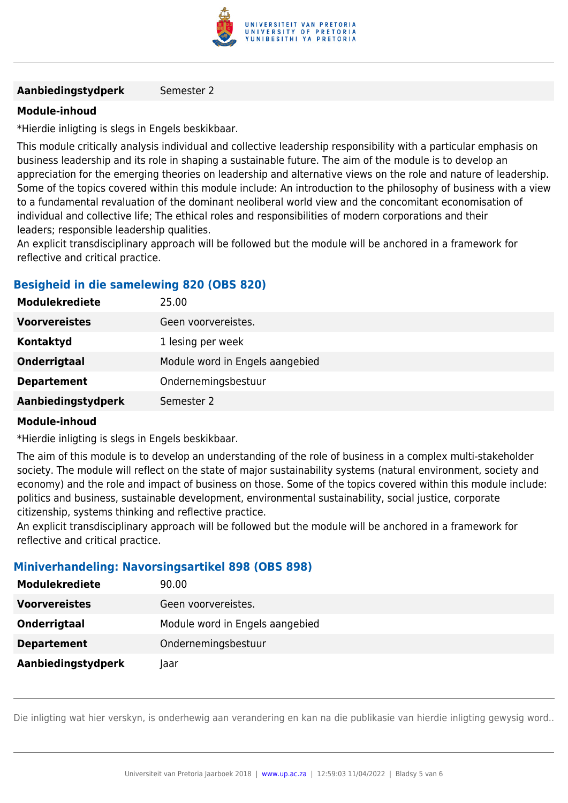

### **Aanbiedingstydperk** Semester 2

### **Module-inhoud**

\*Hierdie inligting is slegs in Engels beskikbaar.

This module critically analysis individual and collective leadership responsibility with a particular emphasis on business leadership and its role in shaping a sustainable future. The aim of the module is to develop an appreciation for the emerging theories on leadership and alternative views on the role and nature of leadership. Some of the topics covered within this module include: An introduction to the philosophy of business with a view to a fundamental revaluation of the dominant neoliberal world view and the concomitant economisation of individual and collective life; The ethical roles and responsibilities of modern corporations and their leaders; responsible leadership qualities.

An explicit transdisciplinary approach will be followed but the module will be anchored in a framework for reflective and critical practice.

### **Besigheid in die samelewing 820 (OBS 820)**

| <b>Modulekrediete</b> | 25.00                           |
|-----------------------|---------------------------------|
| <b>Voorvereistes</b>  | Geen voorvereistes.             |
| Kontaktyd             | 1 lesing per week               |
| Onderrigtaal          | Module word in Engels aangebied |
| <b>Departement</b>    | Ondernemingsbestuur             |
| Aanbiedingstydperk    | Semester 2                      |

#### **Module-inhoud**

\*Hierdie inligting is slegs in Engels beskikbaar.

The aim of this module is to develop an understanding of the role of business in a complex multi-stakeholder society. The module will reflect on the state of major sustainability systems (natural environment, society and economy) and the role and impact of business on those. Some of the topics covered within this module include: politics and business, sustainable development, environmental sustainability, social justice, corporate citizenship, systems thinking and reflective practice.

An explicit transdisciplinary approach will be followed but the module will be anchored in a framework for reflective and critical practice.

### **Miniverhandeling: Navorsingsartikel 898 (OBS 898)**

| <b>Modulekrediete</b> | 90.00                           |
|-----------------------|---------------------------------|
| <b>Voorvereistes</b>  | Geen voorvereistes.             |
| Onderrigtaal          | Module word in Engels aangebied |
| <b>Departement</b>    | Ondernemingsbestuur             |
| Aanbiedingstydperk    | laar                            |

Die inligting wat hier verskyn, is onderhewig aan verandering en kan na die publikasie van hierdie inligting gewysig word..